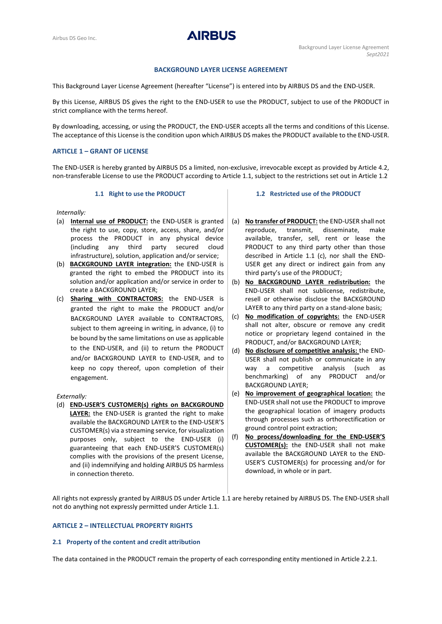**AIRBUS** 

# **BACKGROUND LAYER LICENSE AGREEMENT**

This Background Layer License Agreement (hereafter "License") is entered into by AIRBUS DS and the END-USER.

By this License, AIRBUS DS gives the right to the END-USER to use the PRODUCT, subject to use of the PRODUCT in strict compliance with the terms hereof.

By downloading, accessing, or using the PRODUCT, the END-USER accepts all the terms and conditions of this License. The acceptance of this License is the condition upon which AIRBUS DS makes the PRODUCT available to the END-USER.

# **ARTICLE 1 – GRANT OF LICENSE**

The END-USER is hereby granted by AIRBUS DS a limited, non-exclusive, irrevocable except as provided by Article 4.2, non-transferable License to use the PRODUCT according to Article [1.1,](#page-0-0) subject to the restrictions set out in Article 1.2

# **1.1 Right to use the PRODUCT**

<span id="page-0-0"></span>*Internally:*

- (a) **Internal use of PRODUCT:** the END-USER is granted the right to use, copy, store, access, share, and/or process the PRODUCT in any physical device (including any third party secured cloud infrastructure), solution, application and/or service;
- (b) **BACKGROUND LAYER integration:** the END-USER is granted the right to embed the PRODUCT into its solution and/or application and/or service in order to create a BACKGROUND LAYER;
- (c) **Sharing with CONTRACTORS:** the END-USER is granted the right to make the PRODUCT and/or BACKGROUND LAYER available to CONTRACTORS, subject to them agreeing in writing, in advance, (i) to be bound by the same limitations on use as applicable to the END-USER, and (ii) to return the PRODUCT and/or BACKGROUND LAYER to END-USER, and to keep no copy thereof, upon completion of their engagement.

#### *Externally:*

(d) **END-USER'S CUSTOMER(s) rights on BACKGROUND LAYER:** the END-USER is granted the right to make available the BACKGROUND LAYER to the END-USER'S CUSTOMER(s) via a streaming service, for visualization purposes only, subject to the END-USER (i) guaranteeing that each END-USER'S CUSTOMER(s) complies with the provisions of the present License, and (ii) indemnifying and holding AIRBUS DS harmless in connection thereto.

### **1.2 Restricted use of the PRODUCT**

- (a) **No transfer of PRODUCT:** the END-USER shall not reproduce, transmit, disseminate, make available, transfer, sell, rent or lease the PRODUCT to any third party other than those described in Article 1.1 (c), nor shall the END-USER get any direct or indirect gain from any third party's use of the PRODUCT;
- (b) **No BACKGROUND LAYER redistribution:** the END-USER shall not sublicense, redistribute, resell or otherwise disclose the BACKGROUND LAYER to any third party on a stand-alone basis;
- (c) **No modification of copyrights:** the END-USER shall not alter, obscure or remove any credit notice or proprietary legend contained in the PRODUCT, and/or BACKGROUND LAYER;
- (d) **No disclosure of competitive analysis:** the END-USER shall not publish or communicate in any way a competitive analysis (such as benchmarking) of any PRODUCT and/or BACKGROUND LAYER;
- (e) **No improvement of geographical location:** the END-USER shall not use the PRODUCT to improve the geographical location of imagery products through processes such as orthorectification or ground control point extraction;
- (f) **No process/downloading for the END-USER'S CUSTOMER(s):** the END-USER shall not make available the BACKGROUND LAYER to the END-USER'S CUSTOMER(s) for processing and/or for download, in whole or in part.

All rights not expressly granted by AIRBUS DS under Article [1.1](#page-0-0) are hereby retained by AIRBUS DS. The END-USER shall not do anything not expressly permitted under Article [1.1.](#page-0-0)

## **ARTICLE 2 – INTELLECTUAL PROPERTY RIGHTS**

## **2.1 Property of the content and credit attribution**

The data contained in the PRODUCT remain the property of each corresponding entity mentioned in Article 2.2.1.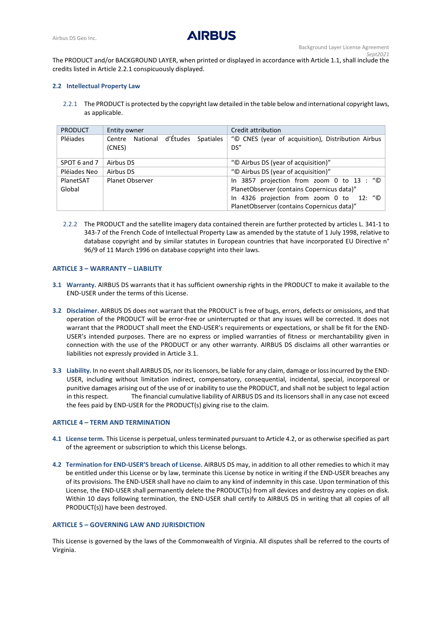

The PRODUCT and/or BACKGROUND LAYER, when printed or displayed in accordance with Articl[e 1.1,](#page-0-0) shall include the credits listed in Article 2.2.1 conspicuously displayed.

## **2.2 Intellectual Property Law**

2.2.1 The PRODUCT is protected by the copyright law detailed in the table below and international copyright laws, as applicable.

| <b>PRODUCT</b> | Entity owner                          | Credit attribution                                 |
|----------------|---------------------------------------|----------------------------------------------------|
| Pléiades       | National d'Études Spatiales<br>Centre | "© CNES (year of acquisition), Distribution Airbus |
|                | (CNES)                                | DS''                                               |
|                |                                       |                                                    |
| SPOT 6 and 7   | Airbus DS                             | "© Airbus DS (year of acquisition)"                |
| Pléiades Neo   | Airbus DS                             | "© Airbus DS (year of acquisition)"                |
| PlanetSAT      | Planet Observer                       | In 3857 projection from zoom 0 to 13 : "©          |
| Global         |                                       | PlanetObserver (contains Copernicus data)"         |
|                |                                       | In 4326 projection from zoom 0 to 12: "©           |
|                |                                       | PlanetObserver (contains Copernicus data)"         |

2.2.2 The PRODUCT and the satellite imagery data contained therein are further protected by articles L. 341-1 to 343-7 of the French Code of Intellectual Property Law as amended by the statute of 1 July 1998, relative to database copyright and by similar statutes in European countries that have incorporated EU Directive n° 96/9 of 11 March 1996 on database copyright into their laws.

## **ARTICLE 3 – WARRANTY – LIABILITY**

- <span id="page-1-0"></span>**3.1 Warranty.** AIRBUS DS warrants that it has sufficient ownership rights in the PRODUCT to make it available to the END-USER under the terms of this License.
- **3.2 Disclaimer.** AIRBUS DS does not warrant that the PRODUCT is free of bugs, errors, defects or omissions, and that operation of the PRODUCT will be error-free or uninterrupted or that any issues will be corrected. It does not warrant that the PRODUCT shall meet the END-USER's requirements or expectations, or shall be fit for the END-USER's intended purposes. There are no express or implied warranties of fitness or merchantability given in connection with the use of the PRODUCT or any other warranty. AIRBUS DS disclaims all other warranties or liabilities not expressly provided in Articl[e 3.1.](#page-1-0)
- **3.3 Liability.** In no event shall AIRBUS DS, nor its licensors, be liable for any claim, damage or loss incurred by the END-USER, including without limitation indirect, compensatory, consequential, incidental, special, incorporeal or punitive damages arising out of the use of or inability to use the PRODUCT, and shall not be subject to legal action in this respect. The financial cumulative liability of AIRBUS DS and its licensors shall in any case not exceed the fees paid by END-USER for the PRODUCT(s) giving rise to the claim.

#### **ARTICLE 4 – TERM AND TERMINATION**

- **4.1 License term.** This License is perpetual, unless terminated pursuant to Article 4.2, or as otherwise specified as part of the agreement or subscription to which this License belongs.
- **4.2 Termination for END-USER'S breach of License.** AIRBUS DS may, in addition to all other remedies to which it may be entitled under this License or by law, terminate this License by notice in writing if the END-USER breaches any of its provisions. The END-USER shall have no claim to any kind of indemnity in this case. Upon termination of this License, the END-USER shall permanently delete the PRODUCT(s) from all devices and destroy any copies on disk. Within 10 days following termination, the END-USER shall certify to AIRBUS DS in writing that all copies of all PRODUCT(s)) have been destroyed.

#### **ARTICLE 5 – GOVERNING LAW AND JURISDICTION**

This License is governed by the laws of the Commonwealth of Virginia. All disputes shall be referred to the courts of Virginia.